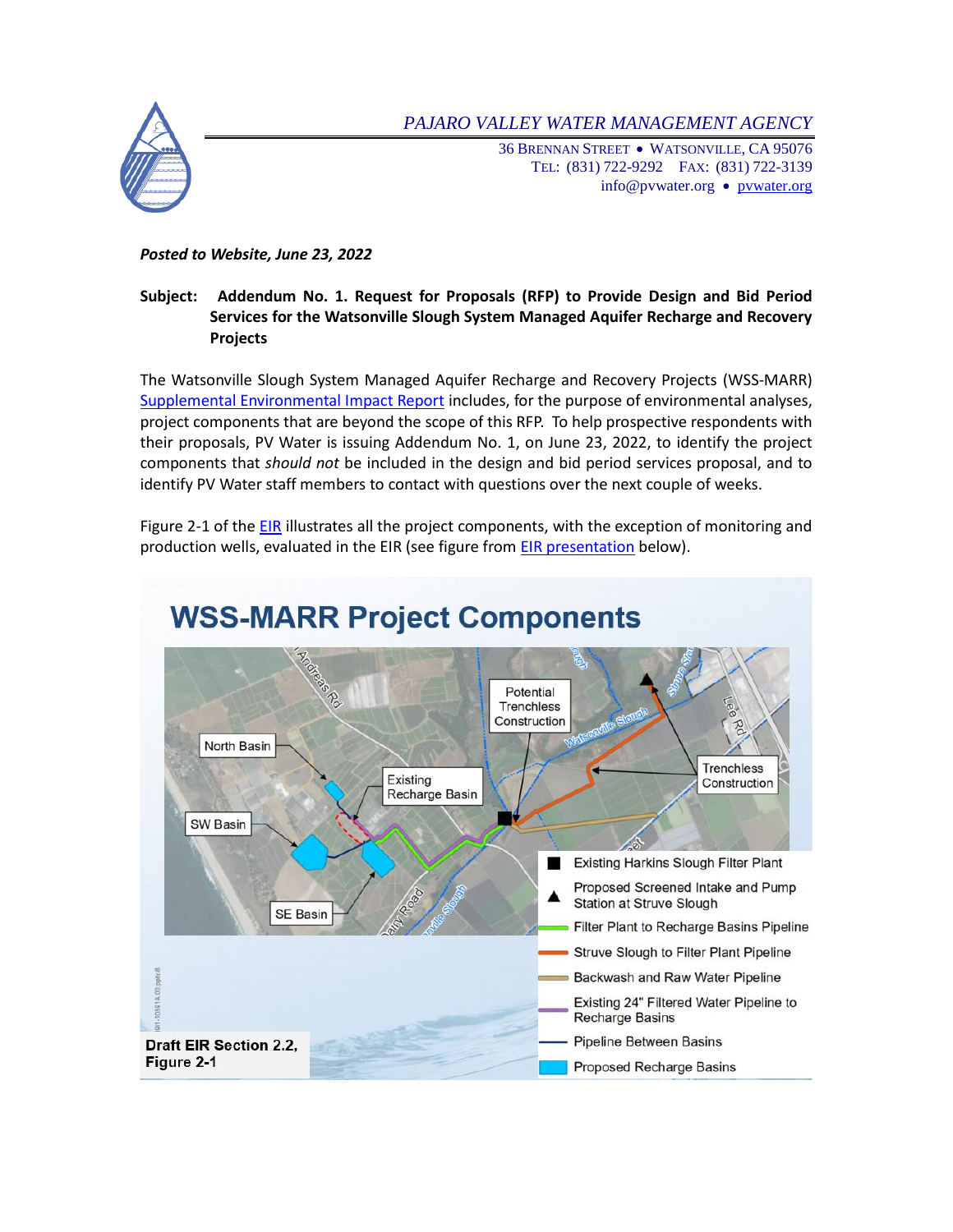*PAJARO VALLEY WATER MANAGEMENT AGENCY*

36 BRENNAN STREET WATSONVILLE, CA 95076 TEL: (831) 722-9292 FAX: (831) 722-3139 info@[pvwater.org](http://www.pvwater.org/) • pvwater.org

## *Posted to Website, June 23, 2022*

## **Subject: Addendum No. 1. Request for Proposals (RFP) to Provide Design and Bid Period Services for the Watsonville Slough System Managed Aquifer Recharge and Recovery Projects**

The Watsonville Slough System Managed Aquifer Recharge and Recovery Projects (WSS-MARR) [Supplemental Environmental Impact Report](https://www.pvwater.org/images/projects/Sloughs/WSS-MARR-Draft-SEIR_with-Appendices-web.pdf) includes, for the purpose of environmental analyses, project components that are beyond the scope of this RFP. To help prospective respondents with their proposals, PV Water is issuing Addendum No. 1, on June 23, 2022, to identify the project components that *should not* be included in the design and bid period services proposal, and to identify PV Water staff members to contact with questions over the next couple of weeks.

Figure 2-1 of th[e EIR](https://www.pvwater.org/images/projects/Sloughs/WSS-MARR-Draft-SEIR_with-Appendices-web.pdf) illustrates all the project components, with the exception of monitoring and production wells, evaluated in the EIR (see figure from [EIR presentation](https://www.pvwater.org/images/projects/Sloughs/WSS-MARR_DEIR_Public_Mtg_FINAL.pdf) below).



## **WSS-MARR Project Components**